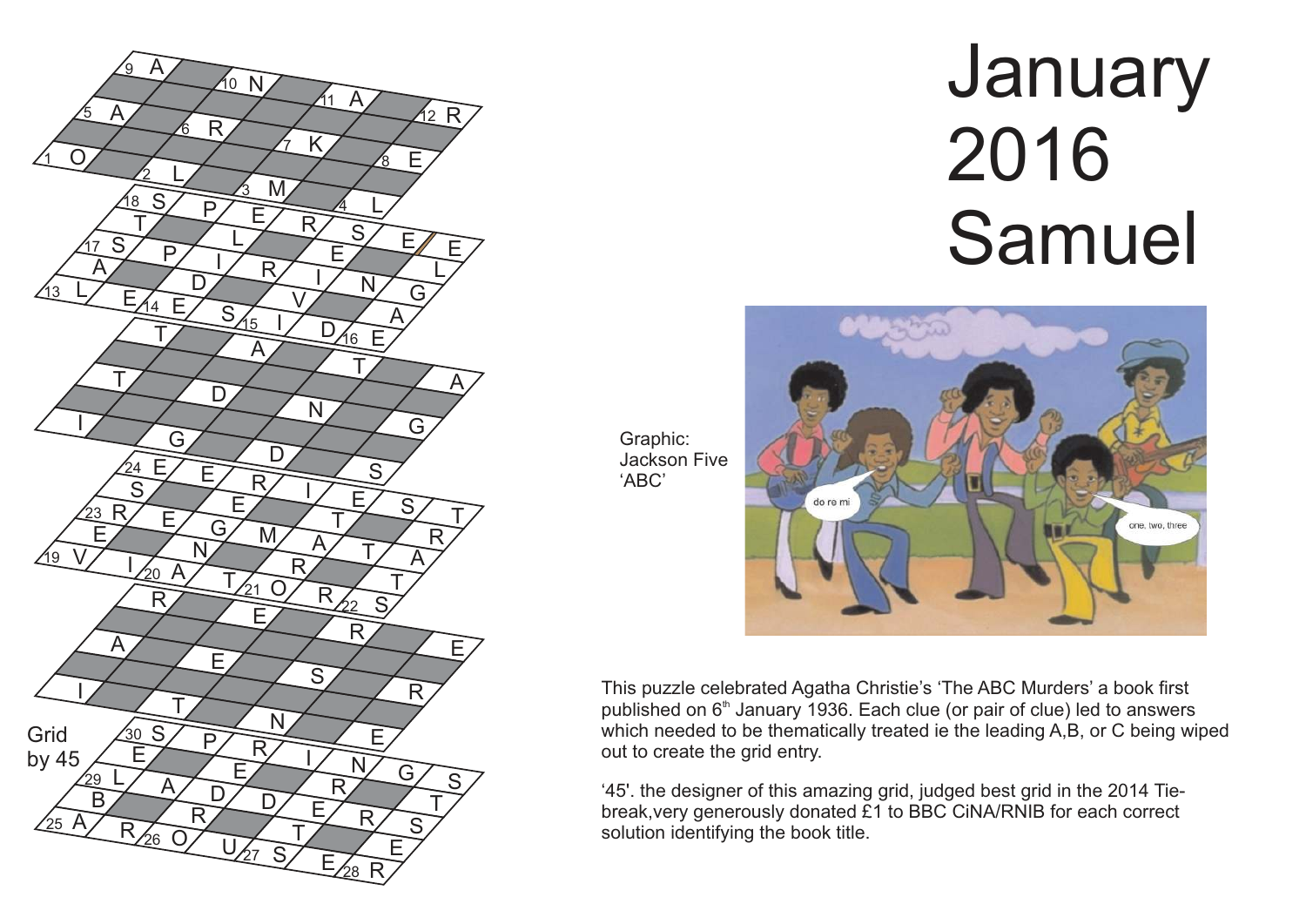

## **January**  2016 Samuel



Graphic: Jackson Five

'ABC'

This puzzle celebrated Agatha Christie's 'The ABC Murders' a book first published on  $6<sup>th</sup>$  January 1936. Each clue (or pair of clue) led to answers which needed to be thematically treated ie the leading A, B, or C being wiped out to create the grid entry.

'45'. the designer of this amazing grid, judged best grid in the 2014 Tiebreak,very generously donated £1 to BBC CiNA/RNIB for each correct solution identifying the book title.